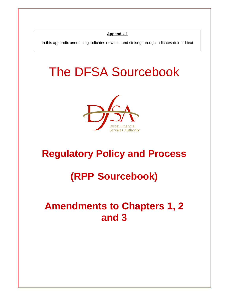## **Appendix 1**

In this appendix underlining indicates new text and striking through indicates deleted text

# The DFSA Sourcebook



## **Regulatory Policy and Process**

## **(RPP Sourcebook)**

## **Amendments to Chapters 1, 2 and 3**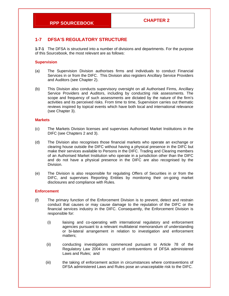## **1-7 DFSA'S REGULATORY STRUCTURE**

**1-7-1** The DFSA is structured into a number of divisions and departments. For the purpose of this Sourcebook, the most relevant are as follows:

#### **Supervision**

- (a) The Supervision Division authorises firms and individuals to conduct Financial Services in or from the DIFC. This Division also registers Ancillary Service Providers and Auditors (see Chapter 2).
- (b) This Division also conducts supervisory oversight on all Authorised Firms, Ancillary Service Providers and Auditors, including by conducting risk assessments. The scope and frequency of such assessments are dictated by the nature of the firm's activities and its perceived risks. From time to time, Supervision carries out thematic reviews inspired by topical events which have both local and international relevance (see Chapter 3).

#### **Markets**

- (c) The Markets Division licenses and supervises Authorised Market Institutions in the DIFC (see Chapters 2 and 3).
- (d) The Division also recognises those financial markets who operate an exchange or clearing house outside the DIFC without having a physical presence in the DIFC but make their services available to Persons in the DIFC. Trading and Clearing members of an Authorised Market Institution who operate in a jurisdiction other than the DIFC and do not have a physical presence in the DIFC are also recognised by the Division.
- (e) The Division is also responsible for regulating Offers of Securities in or from the DIFC, and supervises Reporting Entities by monitoring their on-going market disclosures and compliance with Rules.

#### **Enforcement**

- (f) The primary function of the Enforcement Division is to prevent, detect and restrain conduct that causes or may cause damage to the reputation of the DIFC or the financial services industry in the DIFC. Consequently, the Enforcement Division is responsible for:
	- (i) liaising and co-operating with international regulatory and enforcement agencies pursuant to a relevant multilateral memorandum of understanding or bi-lateral arrangement in relation to investigation and enforcement matters;
	- (ii) conducting investigations commenced pursuant to Article 78 of the Regulatory Law 2004 in respect of contraventions of DFSA administered Laws and Rules; and
	- (iii) the taking of enforcement action in circumstances where contraventions of DFSA administered Laws and Rules pose an unacceptable risk to the DIFC.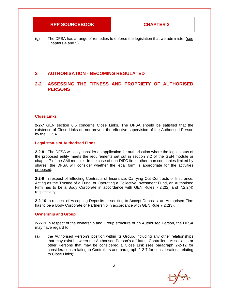$(g)$  The DFSA has a range of remedies to enforce the legislation that we administer (see Chapters 4 and 5).

**……….** 

## **2 AUTHORISATION - BECOMING REGULATED**

### **2-2 ASSESSING THE FITNESS AND PROPRIETY OF AUTHORISED PERSONS**

**……….** 

#### **Close Links**

**2-2-7** GEN section 6.6 concerns Close Links. The DFSA should be satisfied that the existence of Close Links do not prevent the effective supervision of the Authorised Person by the DFSA.

#### **Legal status of Authorised Firms**

**2-2-8** The DFSA will only consider an application for authorisation where the legal status of the proposed entity meets the requirements set out in section 7.2 of the GEN module or chapter 7 of the AMI module. In the case of non-DIFC firms other than companies limited by shares, the DFSA will consider whether the legal form is appropriate for the activities proposed.

**2-2-9** In respect of Effecting Contracts of Insurance, Carrying Out Contracts of Insurance, Acting as the Trustee of a Fund, or Operating a Collective Investment Fund, an Authorised Firm has to be a Body Corporate in accordance with GEN Rules 7.2.2(2) and 7.2.2(4) respectively.

**2-2-10** In respect of Accepting Deposits or seeking to Accept Deposits, an Authorised Firm has to be a Body Corporate or Partnership in accordance with GEN Rule 7.2.2(3).

#### **Ownership and Group**

**2-2-11** In respect of the ownership and Group structure of an Authorised Person, the DFSA may have regard to:

(a) the Authorised Person's position within its Group, including any other relationships that may exist between the Authorised Person's affiliates, Controllers, Associates or other Persons that may be considered a Close Link (see paragraph 2-2-12 for considerations relating to Controllers and paragraph 2-2-7 for considerations relating to Close Links);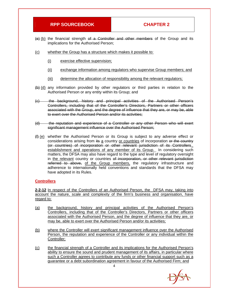- $(e)$  (b) the financial strength of a Controller and other members of the Group and its implications for the Authorised Person;
- (c) whether the Group has a structure which makes it possible to:
	- (i) exercise effective supervision;
	- (ii) exchange information among regulators who supervise Group members; and
	- (iii) determine the allocation of responsibility among the relevant regulators;
- (b) (d) any information provided by other regulators or third parties in relation to the Authorised Person or any entity within its Group; and
- (c) the background, history and principal activities of the Authorised Person's Controllers, including that of the Controller's Directors, Partners or other officers associated with the Group, and the degree of influence that they are, or may be, able to exert over the Authorised Person and/or its activities;
- (d) the reputation and experience of a Controller or any other Person who will exert significant management influence over the Authorised Person;
- (f) (e) whether the Authorised Person or its Group is subject to any adverse effect or considerations arising from its a country or countries of incorporation or the country (or countries) of incorporation or other relevant jurisdiction of its Controllers., establishment and operations of any member of its Group. In considering such matters, the DFSA may also have regard to the type and level of regulatory oversight in the relevant country or countries of incorporation, or other relevant jurisdiction referred to above, of the Group members, the regulatory infrastructure and adherence to internationally held conventions and standards that the DFSA may have adopted in its Rules.

#### **Controllers**

**2-2-12** In respect of the Controllers of an Authorised Person, the DFSA may, taking into account the nature, scale and complexity of the firm's business and organisation, have regard to:

- (a) the background, history and principal activities of the Authorised Person's Controllers, including that of the Controller's Directors, Partners or other officers associated with the Authorised Person, and the degree of influence that they are, or may be, able to exert over the Authorised Person and/or its activities;
- (b) where the Controller will exert significant management influence over the Authorised Person, the reputation and experience of the Controller or any individual within the Controller;
- (c) the financial strength of a Controller and its implications for the Authorised Person's ability to ensure the sound and prudent management of its affairs, in particular where such a Controller agrees to contribute any funds or other financial support such as a guarantee or a debt subordination agreement in favour of the Authorised Firm; and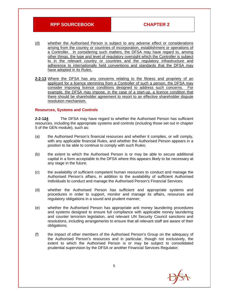- (d) whether the Authorised Person is subject to any adverse effect or considerations arising from the country or countries of incorporation, establishment or operations of a Controller. In considering such matters, the DFSA may have regard to, among other things, the type and level of regulatory oversight which the Controller is subject to in the relevant country or countries and the regulatory infrastructure and adherence to internationally held conventions and standards that the DFSA may have adopted in its Rules.
- **2-2-13** Where the DFSA has any concerns relating to the fitness and propriety of an applicant for a licence stemming from a Controller of such a person, the DFSA may consider imposing licence conditions designed to address such concerns. For example, the DFSA may impose, in the case of a start-up, a licence condition that there should be shareholder agreement to resort to an effective shareholder dispute resolution mechanism.

#### **Resources, Systems and Controls**

**2-2-124** The DFSA may have regard to whether the Authorised Person has sufficient resources, including the appropriate systems and controls (including those set out in chapter 5 of the GEN module), such as:

- (a) the Authorised Person's financial resources and whether it complies, or will comply, with any applicable financial Rules, and whether the Authorised Person appears in a position to be able to continue to comply with such Rules;
- (b) the extent to which the Authorised Person is or may be able to secure additional capital in a form acceptable to the DFSA where this appears likely to be necessary at any stage in the future;
- (c) the availability of sufficient competent human resources to conduct and manage the Authorised Person's affairs, in addition to the availability of sufficient Authorised Individuals to conduct and manage the Authorised Person's Financial Services;
- (d) whether the Authorised Person has sufficient and appropriate systems and procedures in order to support, monitor and manage its affairs, resources and regulatory obligations in a sound and prudent manner;
- (e) whether the Authorised Person has appropriate anti money laundering procedures and systems designed to ensure full compliance with applicable money laundering and counter terrorism legislation, and relevant UN Security Council sanctions and resolutions, including arrangements to ensure that all relevant staff are aware of their obligations;
- (f) the impact of other members of the Authorised Person's Group on the adequacy of the Authorised Person's resources and in particular, though not exclusively, the extent to which the Authorised Person is or may be subject to consolidated prudential supervision by the DFSA or another Financial Services Regulator;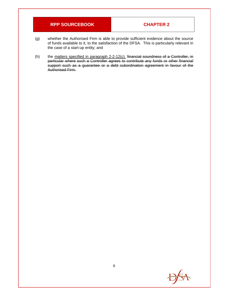- (g) whether the Authorised Firm is able to provide sufficient evidence about the source of funds available to it, to the satisfaction of the DFSA. This is particularly relevant in the case of a start-up entity; and
- (h) the matters specified in paragraph 2-2-12(c). financial soundness of a Controller, in particular where such a Controller agrees to contribute any funds or other financial support such as a guarantee or a debt subordination agreement in favour of the Authorised Firm.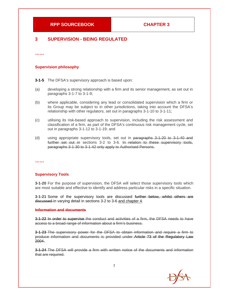### **3 SUPERVISION - BEING REGULATED**

**……** 

#### **Supervision philosophy**

**3-1-5** The DFSA's supervisory approach is based upon:

- (a) developing a strong relationship with a firm and its senior management, as set out in paragraphs 3-1-7 to 3-1-9;
- (b) where applicable, considering any lead or consolidated supervision which a firm or its Group may be subject to in other jurisdictions, taking into account the DFSA's relationship with other regulators, set out in paragraphs 3-1-10 to 3-1-11;
- (c) utilising its risk-based approach to supervision, including the risk assessment and classification of a firm, as part of the DFSA's continuous risk management cycle, set out in paragraphs 3-1-12 to 3-1-19; and
- (d) using appropriate supervisory tools, set out in paragraphs 3-1-20 to 3-1-40 and further set out in sections 3-2 to 3-6. In relation to these supervisory tools, paragraphs 3-1-30 to 3-1-42 only apply to Authorised Persons.

**……** 

#### **Supervisory Tools**

**3-1-20** For the purpose of supervision, the DFSA will select those supervisory tools which are most suitable and effective to identify and address particular risks in a specific situation.

**3-1-21** Some of the supervisory tools are discussed further below, whilst others are discussed in varying detail in sections 3-2 to 3-6 and chapter 4.

#### **Information and documents**

**3-1-22** In order to supervise the conduct and activities of a firm, the DFSA needs to have access to a broad range of information about a firm's business.

**3-1-23** The supervisory power for the DFSA to obtain information and require a firm to produce information and documents is provided under Article 73 of the Regulatory Law 2004.

**3-1-24** The DFSA will provide a firm with written notice of the documents and information that are required.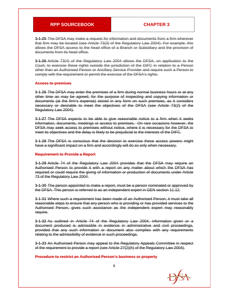**3-1-25** The DFSA may make a request for information and documents from a firm wherever that firm may be located (see Article 73(3) of the Regulatory Law 2004). For example, this allows the DFSA access to the head office of a Branch or Subsidiary and the provision of documents from its head office.

**3-1-26** Article 73(4) of the Regulatory Law 2004 allows the DFSA, on application to the Court, to exercise these rights outside the jurisdiction of the DIFC in relation to a Person other than an Authorised Person or Ancillary Service Provider and require such a Person to comply with the requirement or permit the exercise of the DFSA's rights.

#### **Access to premises**

**3-1-26** The DFSA may enter the premises of a firm during normal business hours or at any other time as may be agreed, for the purpose of inspecting and copying information or documents (at the firm's expense) stored in any form on such premises, as it considers necessary or desirable to meet the objectives of the DFSA (see Article 73(2) of the Regulatory Law 2004).

**3-1-27** The DFSA expects to be able to give reasonable notice to a firm when it seeks information, documents, meetings or access to premises. On rare occasions however, the DFSA may seek access to premises without notice, where it is necessary for the DFSA to meet its objectives and the delay is likely to be prejudicial to the interests of the DIFC.

**3-1-28** The DFSA is conscious that the decision to exercise these access powers might have a significant impact on a firm and accordingly will do so only when necessary.

#### **Requirement to Provide a Report**

**3-1-29** Article 74 of the Regulatory Law 2004 provides that the DFSA may require an Authorised Person to provide it with a report on any matter about which the DFSA has required or could require the giving of information or production of documents under Article 73 of the Regulatory Law 2004.

**3-1-30** The person appointed to make a report, must be a person nominated or approved by the DFSA. This person is referred to as an independent expert in GEN section 11.12.

**3-1-31** Where such a requirement has been made of an Authorised Person, it must take all reasonable steps to ensure that any person who is providing or has provided services to the Authorised Person, gives such assistance as the independent expert may reasonably require.

**3-1-32** As outlined in Article 74 of the Regulatory Law 2004, information given or a document produced is admissible in evidence in administrative and civil proceedings, provided that any such information or document also complies with any requirements relating to the admissibility of evidence in such proceedings.

**3-1-33** An Authorised Person may appeal to the Regulatory Appeals Committee in respect of the requirement to provide a report (see Article 27(2)(h) of the Regulatory Law 2004).

#### **Procedure to restrict an Authorised Person's business or property**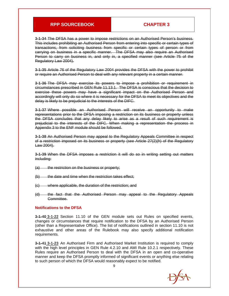**3-1-34** The DFSA has a power to impose restrictions on an Authorised Person's business. This includes prohibiting an Authorised Person from entering into specific or certain types of transactions, from soliciting business from specific or certain types of person or from carrying on business in a specific manner. The DFSA may also require an Authorised Person to carry on business in, and only in, a specified manner (see Article 75 of the Regulatory Law 2004).

**3-1-35** Article 76 of the Regulatory Law 2004 provides the DFSA with the power to prohibit or require an Authorised Person to deal with any relevant property in a certain manner.

**3-1-36** The DFSA may exercise its powers to impose a prohibition or requirement in circumstances prescribed in GEN Rule 11.13.1. The DFSA is conscious that the decision to exercise these powers may have a significant impact on the Authorised Person and accordingly will only do so where it is necessary for the DFSA to meet its objectives and the delay is likely to be prejudicial to the interests of the DIFC.

**3-1-37** Where possible an Authorised Person will receive an opportunity to make representations prior to the DFSA imposing a restriction on its business or property unless the DFSA concludes that any delay likely to arise as a result of such requirement is prejudicial to the interests of the DIFC. When making a representation the process in Appendix 3 to the ENF module should be followed.

**3-1-38** An Authorised Person may appeal to the Regulatory Appeals Committee in respect of a restriction imposed on its business or property (see Article 27(2)(h) of the Regulatory Law 2004).

**3-1-39** When the DFSA imposes a restriction it will do so in writing setting out matters including:

- $(a)$  the restriction on the business or property;
- $(b)$  the date and time when the restriction takes effect;
- (c) where applicable, the duration of the restriction; and
- (d) the fact that the Authorised Person may appeal to the Regulatory Appeals Committee.

#### **Notifications to the DFSA**

**3-1-40 3-1-22** Section 11.10 of the GEN module sets out Rules on specified events, changes or circumstances that require notification to the DFSA by an Authorised Person (other than a Representative Office). The list of notifications outlined in section 11.10 is not exhaustive and other areas of the Rulebook may also specify additional notification requirements.

**3-1-41 3-1-23** An Authorised Firm and Authorised Market Institution is required to comply with the high level principles in GEN Rule 4.2.10 and AMI Rule 10.2.1 respectively. These Rules require an Authorised Person to deal with the DFSA in an open and co-operative manner and keep the DFSA promptly informed of significant events or anything else relating to such person of which the DFSA would reasonably expect to be notified.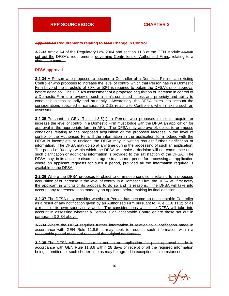#### **Application Requirements relating to for a Change in Control**

**3-2-33** Article 64 of the Regulatory Law 2004 and section 11.8 of the GEN Module govern set out the DFSA's requirements governing Controllers of Authorised Firms. relating to a change in control.

#### **DFSA approval**

**3-2-34** A Person who proposes to become a Controller of a Domestic Firm or an existing Controller who proposes to increase the level of control which that Person has in a Domestic Firm beyond the threshold of 30% or 50% is required to obtain the DFSA's prior approval before doing so. The DFSA's assessment of a proposed acquisition or increase in control of a Domestic Firm is a review of such a firm's continued fitness and propriety and ability to conduct business soundly and prudently. Accordingly, the DFSA takes into account the considerations specified in paragraph 2-2-12 relating to Controllers when making such an assessment.

**3-2-35** Pursuant to GEN Rule 11.8.5(1), a Person who proposes either to acquire or increase the level of control in a Domestic Firm must lodge with the DFSA an application for approval in the appropriate form in AFN. The DFSA may approve of, object to or impose conditions relating to the proposed acquisition or the proposed increase in the level of control of the Authorised Firm. If the information in the application form lodged with the DFSA is incomplete or unclear, the DFSA may in writing request further clarification or information. The DFSA may do so at any time during the processing of such an application. The period of 90 days within which the DFSA will make a decision will not commence until such clarification or additional information is provided to the satisfaction of the DFSA. The DFSA may, in its absolute discretion, agree to a shorter period for processing an application where an applicant requests for such a period, provided all the information required is available to the DFSA.

**3-2-36** Where the DFSA proposes to object to or impose conditions relating to a proposed acquisition of or increase in the level of control in a Domestic Firm, the DFSA will first notify the applicant in writing of its proposal to do so and its reasons. The DFSA will take into account any representations made by an applicant before making its final decision.

**3-2-37** The DFSA may consider whether a Person has become an unacceptable Controller as a result of any notification given by an Authorised Firm pursuant to Rule 11.8.11(2) or as a result of its own supervisory work. The considerations which the DFSA will take into account in assessing whether a Person is an acceptable Controller are those set out in paragraph 3-2-34 above.

**3-2-34** Where the DFSA requires further information in relation to a notification made in accordance with GEN Rule 11.8.5, it may seek to request such information within a reasonable period of time of receipt of the original notification.

**3-2-35** The DFSA will endeavour to act on an application for prior approval made in accordance with GEN Rule 11.8.6 within 28 days of receipt of all the required information being submitted, or such shorter time as may be agreed in exceptional circumstances.